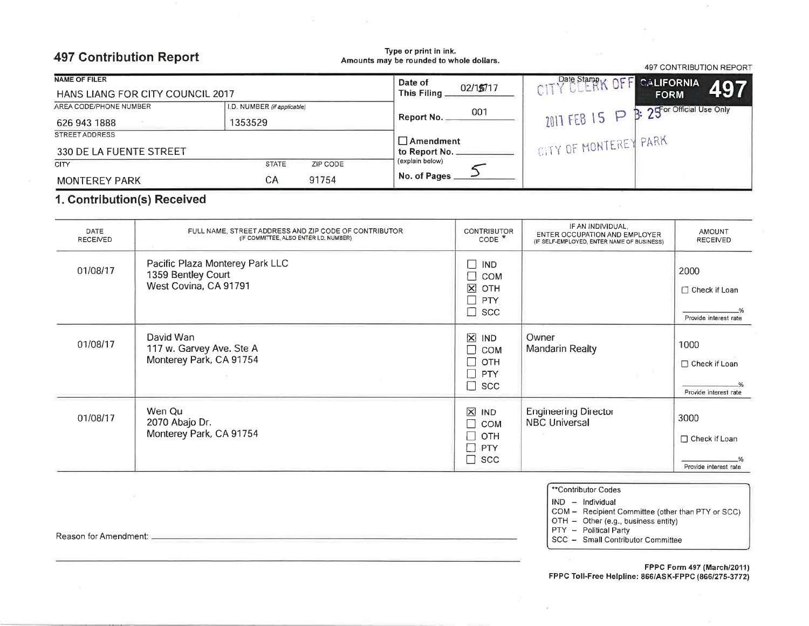## **497 Contribution Report**

Type or print in ink. Amounts may be rounded to whole dollars.

| <b>NAME OF FILER</b>                    |                             | Date of                  | Date Stampy<br><b>CALIFORNIA</b> |                            |  |
|-----------------------------------------|-----------------------------|--------------------------|----------------------------------|----------------------------|--|
| <b>HANS LIANG FOR CITY COUNCIL 2017</b> |                             | 02/15/17<br>This Filing: | C <sub>1</sub>                   | 497<br><b>FORM</b>         |  |
| AREA CODE/PHONE NUMBER                  | I.D. NUMBER (if applicable) | 001                      |                                  | B: 25 or Official Use Only |  |
| 626 943 1888                            | 1353529                     | Report No.               | $2011$ FEB 15 P $\text{H}$       |                            |  |
| STREET ADDRESS                          |                             | <b>∟Amendment</b>        |                                  |                            |  |
| 330 DE LA FUENTE STREET                 |                             | to Report No.            | CITY OF MONTEREY PARK            |                            |  |
| <b>CITY</b>                             | <b>STATE</b><br>ZIP CODE    | (explain below)          |                                  |                            |  |
| <b>MONTEREY PARK</b>                    | 91754<br>СA                 | No. of Pages             |                                  |                            |  |

## 1. Contribution(s) Received

| <b>DATE</b><br><b>RECEIVED</b> | FULL NAME, STREET ADDRESS AND ZIP CODE OF CONTRIBUTOR<br>(IF COMMITTEE, ALSO ENTER I,D, NUMBER) | <b>CONTRIBUTOR</b><br>$CODE *$                                                                                                     | IF AN INDIVIDUAL,<br>ENTER OCCUPATION AND EMPLOYER<br>(IF SELF-EMPLOYED, ENTER NAME OF BUSINESS) | <b>AMOUNT</b><br><b>RECEIVED</b>                      |
|--------------------------------|-------------------------------------------------------------------------------------------------|------------------------------------------------------------------------------------------------------------------------------------|--------------------------------------------------------------------------------------------------|-------------------------------------------------------|
| 01/08/17                       | Pacific Plaza Monterey Park LLC<br>1359 Bentley Court<br>West Covina, CA 91791                  | <b>IND</b><br>×<br>COM<br>$\mathbf{\overline{X}}$<br>OTH<br>PTY<br>$\mathcal{L}_{\mathcal{A}}$<br>┐<br><b>SCC</b>                  |                                                                                                  | 2000<br>$\Box$ Check if Loan<br>Provide interest rate |
| 01/08/17                       | David Wan<br>117 w. Garvey Ave. Ste A<br>Monterey Park, CA 91754                                | $\boxtimes$<br>IND<br>□<br><b>COM</b><br>$\Box$ OTH<br>$\Box$ PTY<br>$\Box$<br><b>SCC</b>                                          | Owner<br>Mandarin Realty                                                                         | 1000<br>□ Check if Loan<br>Provide interest rate      |
| 01/08/17                       | Wen Qu<br>2070 Abajo Dr.<br>Monterey Park, CA 91754                                             | $\boxtimes$<br><b>IND</b><br><b>COM</b><br>$\blacksquare$<br>OTH<br>$\blacksquare$<br>$\Box$<br><b>PTY</b><br>$\Box$<br><b>SCC</b> | <b>Engineering Director</b><br><b>NBC Universal</b>                                              | 3000<br>□ Check if Loan<br>Provide interest rate      |

\*\*Contributor Codes

 $IND - Individual$ 

COM - Recipient Committee (other than PTY or SCC)<br>OTH - Other (e.g., business entity)<br>PTY - Political Party

 $\sim$ 

497 CONTRIBUTION REPORT

SCC - Small Contributor Committee

FPPC Form 497 (March/2011) FPPC Toll-Free Helpline: 866/ASK-FPPC (866/275-3772)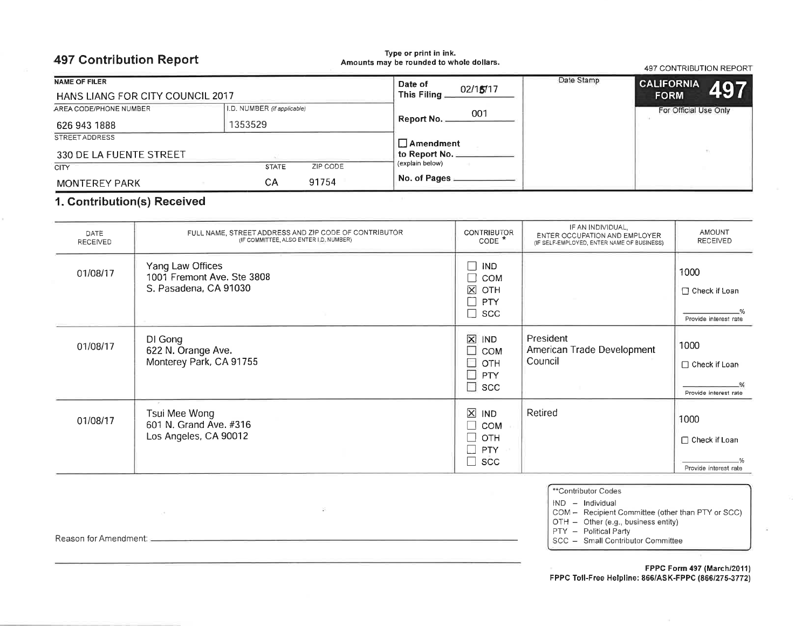| <b>497 Contribution Report</b>   |                             | Type or print in ink.<br>Amounts may be rounded to whole dollars. |            | <b>497 CONTRIBUTION REPORT</b> |
|----------------------------------|-----------------------------|-------------------------------------------------------------------|------------|--------------------------------|
| <b>NAME OF FILER</b>             |                             | Date of                                                           | Date Stamp | <b>CALIFORNIA</b>              |
| HANS LIANG FOR CITY COUNCIL 2017 |                             | 02/15/17<br>This Filing.                                          |            | 497<br><b>FORM</b>             |
| AREA CODE/PHONE NUMBER           | I.D. NUMBER (if applicable) | 001                                                               |            | For Official Use Only          |
| 626 943 1888                     | 1353529                     | Report No. _                                                      |            |                                |
| <b>STREET ADDRESS</b>            |                             | $\Box$ Amendment                                                  |            |                                |
| 330 DE LA FUENTE STREET          |                             | to Report No.                                                     |            |                                |
| <b>CITY</b>                      | <b>STATE</b><br>ZIP CODE    | (explain below)                                                   |            |                                |
| <b>MONTEREY PARK</b>             | 91754<br>CА                 | No. of Pages                                                      |            |                                |

## 1. Contribution(s) Received

| DATE<br><b>RECEIVED</b> | FULL NAME, STREET ADDRESS AND ZIP CODE OF CONTRIBUTOR<br>(IF COMMITTEE, ALSO ENTER I.D. NUMBER) | <b>CONTRIBUTOR</b><br>CODE <sup>*</sup>                                                                                            | IF AN INDIVIDUAL,<br>ENTER OCCUPATION AND EMPLOYER<br>(IF SELF-EMPLOYED, ENTER NAME OF BUSINESS) | <b>AMOUNT</b><br><b>RECEIVED</b>                 |
|-------------------------|-------------------------------------------------------------------------------------------------|------------------------------------------------------------------------------------------------------------------------------------|--------------------------------------------------------------------------------------------------|--------------------------------------------------|
| 01/08/17                | Yang Law Offices<br>1001 Fremont Ave. Ste 3808<br>S. Pasadena, CA 91030                         | $\Box$<br><b>IND</b><br>COM<br>$\mathcal{L}_{\mathcal{A}}$<br>$\overline{\mathsf{x}}$<br>OTH<br>$\Box$<br><b>PTY</b><br>$\Box$ scc |                                                                                                  | 1000<br>□ Check if Loan<br>Provide interest rate |
| 01/08/17                | DI Gong<br>622 N. Orange Ave.<br>Monterey Park, CA 91755                                        | $\overline{\mathsf{x}}$<br>IND<br>n<br><b>COM</b><br>۳<br>OTH<br>$\Box$<br>PTY<br>n<br><b>SCC</b>                                  | President<br>American Trade Development<br>Council                                               | 1000<br>□ Check if Loan<br>Provide interest rate |
| 01/08/17                | Tsui Mee Wong<br>601 N. Grand Ave. #316<br>Los Angeles, CA 90012                                | $\boxtimes$<br><b>IND</b><br><b>COM</b><br>. I<br>OTH<br><b>PTY</b><br>$\mathcal{L}$<br>П<br><b>SCC</b>                            | Retired                                                                                          | 1000<br>□ Check if Loan<br>Provide interest rate |

 $\sim$ 

<u> Antonio de la contenentación de la contenentación de la contenentación de la contenentación de la contenentaci</u>

|     |                          | **Contributor Codes |  |
|-----|--------------------------|---------------------|--|
| IND | $\overline{\phantom{0}}$ | Individual          |  |

COM - Recipient Committee (other than PTY or SCC)

OTH - Other (e.g., business entity)<br>PTY - Political Party

SCC - Small Contributor Committee

## FPPC Form 497 (March/2011) FPPC Toll-Free Helpline: 866/ASK-FPPC (866/275-3772)

 $\widetilde{\mathcal{R}}$ 

Reason for Amendment:

 $\mathcal{O}(\mathcal{O})$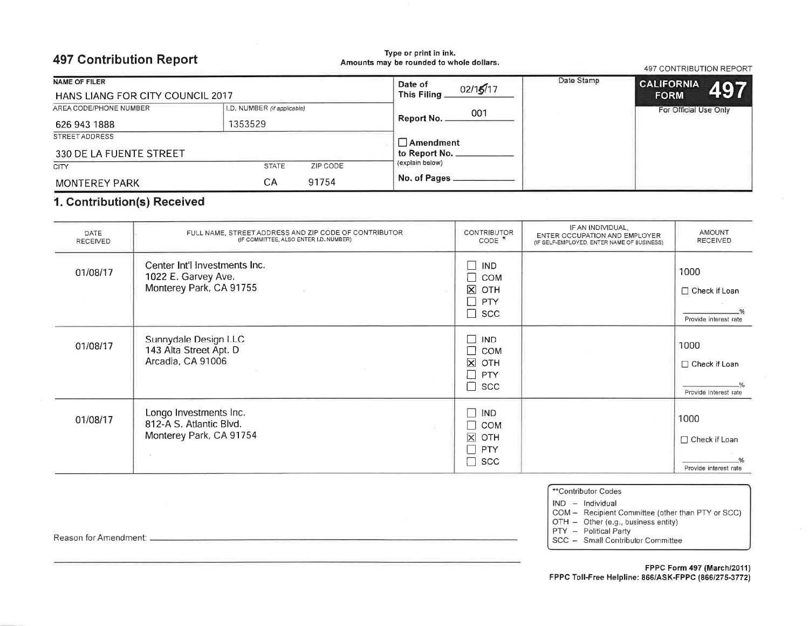## **497 Contribution Report**

Type or print in ink. Amounts may be rounded to whole dollars.

**497 CONTRIBUTION REPORT** 

| NAME OF FILER                    |                             |          | Date of<br>02/15/17 | Date Stamp | <b>CALIFORNIA</b>         |
|----------------------------------|-----------------------------|----------|---------------------|------------|---------------------------|
| HANS LIANG FOR CITY COUNCIL 2017 |                             |          | This Filing.        |            | <b>497</b><br><b>FORM</b> |
| AREA CODE/PHONE NUMBER           | I.D. NUMBER (if applicable) |          | 001                 |            | For Official Use Only     |
| 626 943 1888                     | 1353529                     |          | Report No.          |            |                           |
| <b>STREET ADDRESS</b>            |                             |          | <b>Amendment</b>    |            |                           |
| 330 DE LA FUENTE STREET          |                             |          | to Report No        |            |                           |
| <b>CITY</b>                      | <b>STATE</b>                | ZIP CODE | (explain below)     |            |                           |
| <b>MONTEREY PARK</b>             | CА                          | 91754    | No. of Pages        |            |                           |

## 1. Contribution(s) Received

| <b>DATE</b><br><b>RECEIVED</b> | FULL NAME, STREET ADDRESS AND ZIP CODE OF CONTRIBUTOR<br>(IF COMMITTEE, ALSO ENTER I.D. NUMBER) | <b>CONTRIBUTOR</b><br>CODE <sup>*</sup>                                                         | IF AN INDIVIDUAL,<br>ENTER OCCUPATION AND EMPLOYER<br>(IF SELF-EMPLOYED, ENTER NAME OF BUSINESS) | <b>AMOUNT</b><br><b>RECEIVED</b>                 |
|--------------------------------|-------------------------------------------------------------------------------------------------|-------------------------------------------------------------------------------------------------|--------------------------------------------------------------------------------------------------|--------------------------------------------------|
| 01/08/17                       | Center Int'l Investments Inc.<br>1022 E. Garvey Ave.<br>Monterey Park, CA 91755                 | $\square$ IND<br>$\Box$<br><b>COM</b><br>$\boxtimes$<br>OTH<br>$\Box$ PTY<br>□<br><b>SCC</b>    |                                                                                                  | 1000<br>□ Check if Loan<br>Provide interest rate |
| 01/08/17                       | Sunnydale Design LLC<br>143 Alta Street Apt. D<br>Arcadia, CA 91006                             | <b>IND</b><br><b>COM</b><br>$\overline{\mathsf{x}}$<br>OTH<br><b>PTY</b><br><b>SCC</b>          |                                                                                                  | 1000<br>□ Check if Loan<br>Provide interest rate |
| 01/08/17                       | Longo Investments Inc.<br>812-A S. Atlantic Blvd.<br>Monterey Park, CA 91754                    | П<br>IND<br><b>COM</b><br>$\Box$<br>$\overline{\mathsf{x}}$<br>OTH<br>$\Box$<br>PTY<br>Г<br>SCC |                                                                                                  | 1000<br>□ Check if Loan<br>Provide interest rate |

| **Contributor Codes |  |
|---------------------|--|
|---------------------|--|

IND - Individual

COM - Recipient Committee (other than PTY or SCC)

OTH - Other (e.g., business entity)<br>PTY - Political Party

SCC - Small Contributor Committee

#### FPPC Form 497 (March/2011) FPPC Toll-Free Helpline: 866/ASK-FPPC (866/275-3772)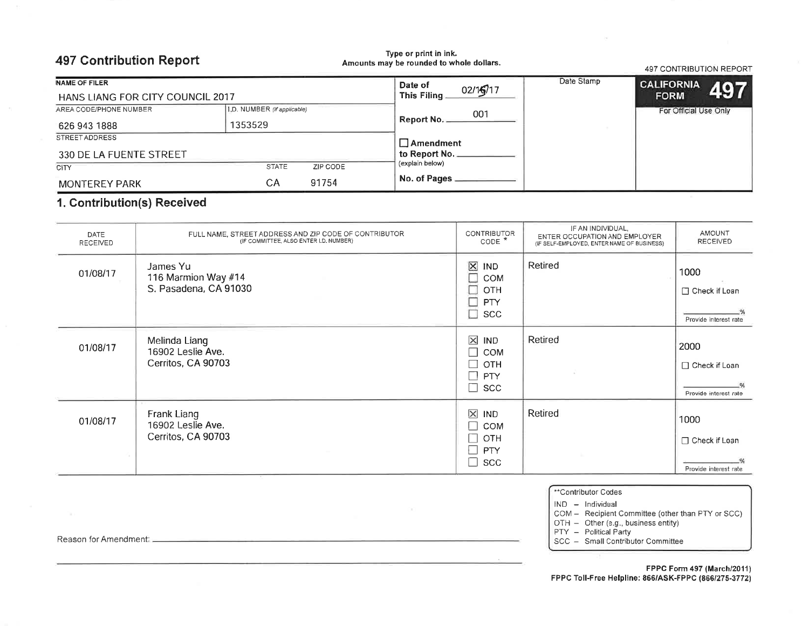| <b>497 Contribution Report</b>   |                             |          | Type or print in ink.<br>Amounts may be rounded to whole dollars. |            | <b>497 CONTRIBUTION REPORT</b> |     |
|----------------------------------|-----------------------------|----------|-------------------------------------------------------------------|------------|--------------------------------|-----|
| <b>NAME OF FILER</b>             |                             |          | Date of<br>02/16/17                                               | Date Stamp | <b>CALIFORNIA</b>              |     |
| HANS LIANG FOR CITY COUNCIL 2017 |                             |          | This Filing.                                                      |            | <b>FORM</b>                    | 497 |
| AREA CODE/PHONE NUMBER           | I.D. NUMBER (if applicable) |          | 001                                                               |            | For Official Use Only          |     |
| 626 943 1888                     | 1353529                     |          | Report No.                                                        |            |                                |     |
| STREET ADDRESS                   |                             |          | $\Box$ Amendment                                                  |            |                                |     |
| 330 DE LA FUENTE STREET          |                             |          | to Report No.                                                     |            |                                |     |
| <b>CITY</b>                      | <b>STATE</b>                | ZIP CODE | (explain below)                                                   |            |                                |     |
| <b>MONTEREY PARK</b>             | СA                          | 91754    | No. of Pages                                                      |            |                                |     |

## 1. Contribution(s) Received

| DATE<br>RECEIVED | FULL NAME, STREET ADDRESS AND ZIP CODE OF CONTRIBUTOR<br>(IF COMMITTEE, ALSO ENTER I.D. NUMBER) | <b>CONTRIBUTOR</b><br>$CODE$ <sup>*</sup>                                                                | IF AN INDIVIDUAL,<br>ENTER OCCUPATION AND EMPLOYER<br>(IF SELF-EMPLOYED, ENTER NAME OF BUSINESS) | AMOUNT<br><b>RECEIVED</b>                        |
|------------------|-------------------------------------------------------------------------------------------------|----------------------------------------------------------------------------------------------------------|--------------------------------------------------------------------------------------------------|--------------------------------------------------|
| 01/08/17         | James Yu<br>116 Marmion Way #14<br>S. Pasadena, CA 91030                                        | $\boxtimes$<br><b>IND</b><br>Ξ<br>COM<br>OTH<br>D<br>T<br><b>PTY</b><br>□<br>SCC                         | Retired                                                                                          | 1000<br>□ Check if Loan<br>Provide interest rate |
| 01/08/17         | Melinda Liang<br>16902 Leslie Ave.<br>Cerritos, CA 90703                                        | $\pmb{\times}$<br><b>IND</b><br>┓<br><b>COM</b><br>OTH<br>$\mathcal{L}$<br>PTY<br>- 1<br>┐<br><b>SCC</b> | Retired                                                                                          | 2000<br>□ Check if Loan<br>Provide interest rate |
| 01/08/17         | Frank Liang<br>16902 Leslie Ave.<br>Cerritos, CA 90703                                          | $\overline{\mathsf{x}}$<br><b>IND</b><br>COM<br>$\mathcal{L}$<br>OTH<br><b>PTY</b><br><b>SCC</b>         | Retired                                                                                          | 1000<br>□ Check if Loan<br>Provide interest rate |

œ

| <sup>**</sup> Contributor Codes |
|---------------------------------|
|---------------------------------|

 $IND - Individual$ 

COM - Recipient Committee (other than PTY or SCC)

OTH - Other (e.g., business entity)<br>PTY - Political Party<br>SCC - Small Contributor Committee

### FPPC Form 497 (March/2011) FPPC Toll-Free Helpline: 866/ASK-FPPC (866/275-3772)

Reason for Amendment: \_\_